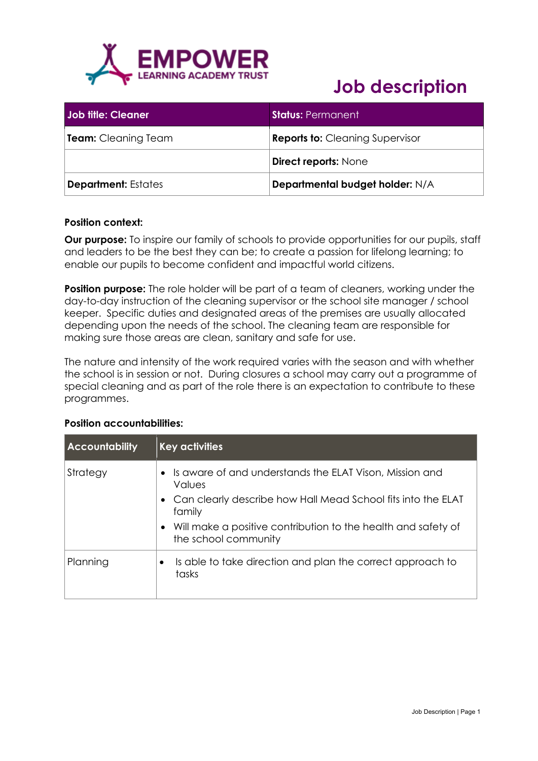

| <b>Job fifle: Cleaner</b>  | <b>Status: Permanent</b>               |
|----------------------------|----------------------------------------|
| <b>Team:</b> Cleaning Team | <b>Reports to: Cleaning Supervisor</b> |
|                            | <b>Direct reports: None</b>            |
| <b>Department: Estates</b> | Departmental budget holder: N/A        |

#### **Position context:**

**Our purpose:** To inspire our family of schools to provide opportunities for our pupils, staff and leaders to be the best they can be; to create a passion for lifelong learning; to enable our pupils to become confident and impactful world citizens.

**Position purpose:** The role holder will be part of a team of cleaners, working under the day-to-day instruction of the cleaning supervisor or the school site manager / school keeper. Specific duties and designated areas of the premises are usually allocated depending upon the needs of the school. The cleaning team are responsible for making sure those areas are clean, sanitary and safe for use.

The nature and intensity of the work required varies with the season and with whether the school is in session or not. During closures a school may carry out a programme of special cleaning and as part of the role there is an expectation to contribute to these programmes.

| <b>Accountability</b> | <b>Key activities</b>                                                                                                                                                                                          |
|-----------------------|----------------------------------------------------------------------------------------------------------------------------------------------------------------------------------------------------------------|
| Strategy              | Is aware of and understands the ELAT Vison, Mission and<br>Values<br>• Can clearly describe how Hall Mead School fits into the ELAT<br>family<br>Will make a positive contribution to the health and safety of |
| Planning              | the school community<br>Is able to take direction and plan the correct approach to<br>tasks                                                                                                                    |

#### **Position accountabilities:**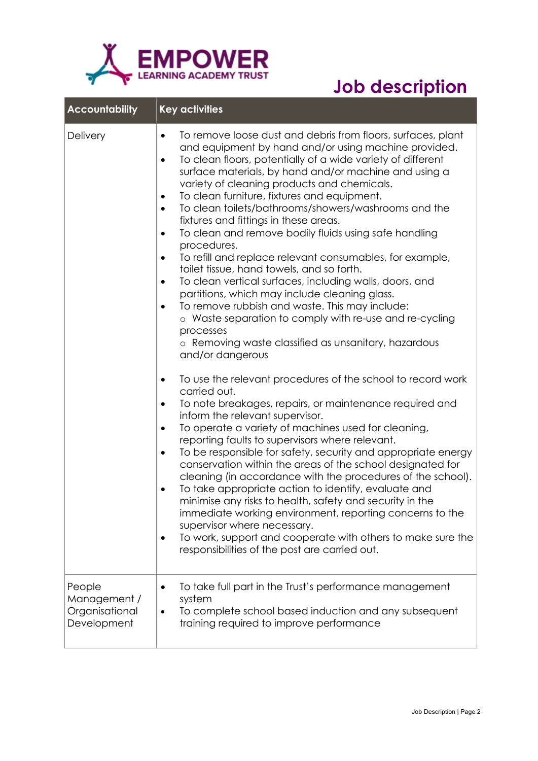

| <b>Accountability</b>                                   | <b>Key activities</b>                                                                                                                                                                                                                                                                                                                                                                                                                                                                                                                                                                                                                                                                                                                                                                                                                                                                                                                                                                                           |
|---------------------------------------------------------|-----------------------------------------------------------------------------------------------------------------------------------------------------------------------------------------------------------------------------------------------------------------------------------------------------------------------------------------------------------------------------------------------------------------------------------------------------------------------------------------------------------------------------------------------------------------------------------------------------------------------------------------------------------------------------------------------------------------------------------------------------------------------------------------------------------------------------------------------------------------------------------------------------------------------------------------------------------------------------------------------------------------|
| Delivery                                                | To remove loose dust and debris from floors, surfaces, plant<br>$\bullet$<br>and equipment by hand and/or using machine provided.<br>To clean floors, potentially of a wide variety of different<br>surface materials, by hand and/or machine and using a<br>variety of cleaning products and chemicals.<br>To clean furniture, fixtures and equipment.<br>$\bullet$<br>To clean toilets/bathrooms/showers/washrooms and the<br>$\bullet$<br>fixtures and fittings in these areas.<br>To clean and remove bodily fluids using safe handling<br>$\bullet$<br>procedures.<br>To refill and replace relevant consumables, for example,<br>toilet tissue, hand towels, and so forth.<br>To clean vertical surfaces, including walls, doors, and<br>$\bullet$<br>partitions, which may include cleaning glass.<br>To remove rubbish and waste. This may include:<br>o Waste separation to comply with re-use and re-cycling<br>processes<br>o Removing waste classified as unsanitary, hazardous<br>and/or dangerous |
|                                                         | To use the relevant procedures of the school to record work<br>$\bullet$<br>carried out.<br>To note breakages, repairs, or maintenance required and<br>$\bullet$<br>inform the relevant supervisor.<br>To operate a variety of machines used for cleaning,<br>$\bullet$<br>reporting faults to supervisors where relevant.<br>To be responsible for safety, security and appropriate energy<br>conservation within the areas of the school designated for<br>cleaning (in accordance with the procedures of the school).<br>To take appropriate action to identify, evaluate and<br>minimise any risks to health, safety and security in the<br>immediate working environment, reporting concerns to the<br>supervisor where necessary.<br>To work, support and cooperate with others to make sure the<br>responsibilities of the post are carried out.                                                                                                                                                         |
| People<br>Management /<br>Organisational<br>Development | To take full part in the Trust's performance management<br>system<br>To complete school based induction and any subsequent<br>training required to improve performance                                                                                                                                                                                                                                                                                                                                                                                                                                                                                                                                                                                                                                                                                                                                                                                                                                          |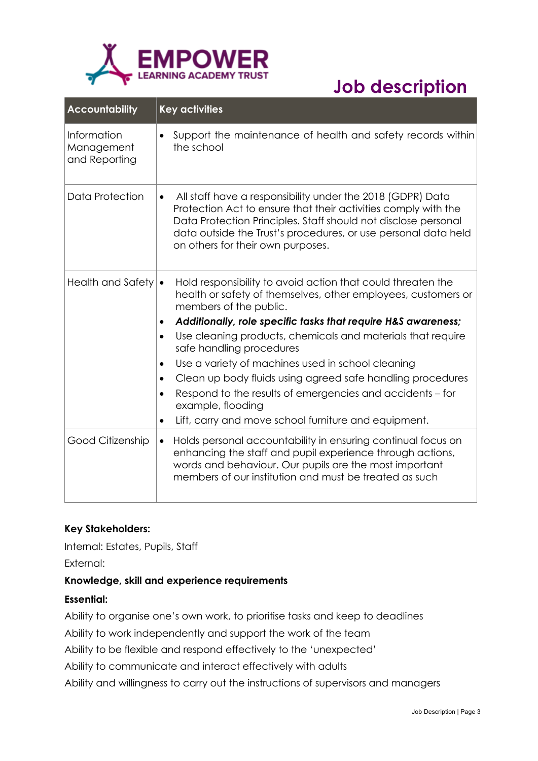

| <b>Accountability</b>                      | <b>Key activities</b>                                                                                                                                                                                                                                                                                              |
|--------------------------------------------|--------------------------------------------------------------------------------------------------------------------------------------------------------------------------------------------------------------------------------------------------------------------------------------------------------------------|
| Information<br>Management<br>and Reporting | Support the maintenance of health and safety records within<br>the school                                                                                                                                                                                                                                          |
| Data Protection                            | All staff have a responsibility under the 2018 (GDPR) Data<br>$\bullet$<br>Protection Act to ensure that their activities comply with the<br>Data Protection Principles. Staff should not disclose personal<br>data outside the Trust's procedures, or use personal data held<br>on others for their own purposes. |
| <b>Health and Safety</b>                   | Hold responsibility to avoid action that could threaten the<br>$\bullet$<br>health or safety of themselves, other employees, customers or<br>members of the public.                                                                                                                                                |
|                                            | Additionally, role specific tasks that require H&S awareness;                                                                                                                                                                                                                                                      |
|                                            | Use cleaning products, chemicals and materials that require<br>$\bullet$<br>safe handling procedures                                                                                                                                                                                                               |
|                                            | Use a variety of machines used in school cleaning<br>$\bullet$                                                                                                                                                                                                                                                     |
|                                            | Clean up body fluids using agreed safe handling procedures<br>Respond to the results of emergencies and accidents – for<br>$\bullet$<br>example, flooding                                                                                                                                                          |
|                                            | Lift, carry and move school furniture and equipment.<br>$\bullet$                                                                                                                                                                                                                                                  |
| Good Citizenship                           | Holds personal accountability in ensuring continual focus on<br>$\bullet$<br>enhancing the staff and pupil experience through actions,<br>words and behaviour. Our pupils are the most important<br>members of our institution and must be treated as such                                                         |

### **Key Stakeholders:**

Internal: Estates, Pupils, Staff

External:

#### **Knowledge, skill and experience requirements**

#### **Essential:**

Ability to organise one's own work, to prioritise tasks and keep to deadlines

Ability to work independently and support the work of the team

Ability to be flexible and respond effectively to the 'unexpected'

Ability to communicate and interact effectively with adults

Ability and willingness to carry out the instructions of supervisors and managers